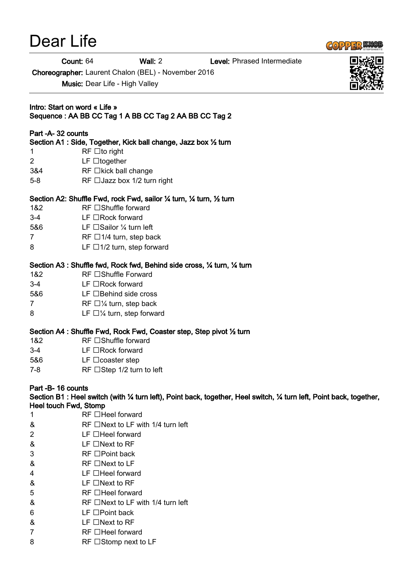# Dear Life

# $G_0$  22 13  $SU_1$

Count: 64 Wall: 2 Level: Phrased Intermediate

Choreographer: Laurent Chalon (BEL) - November 2016

Music: Dear Life - High Valley

Intro: Start on word « Life » Sequence : AA BB CC Tag 1 A BB CC Tag 2 AA BB CC Tag 2

# Part -A- 32 counts

Section A1 : Side, Together, Kick ball change, Jazz box ½ turn

- 1 RF  $\Box$  to right
- 2 LF together
- $384$  RF  $\Box$ kick ball change
- 5-8 RF  $\Box$ Jazz box 1/2 turn right

# Section A2: Shuffle Fwd, rock Fwd, sailor ¼ turn, ¼ turn, ½ turn

- 1&2 RF □Shuffle forward
- $3-4$  LF  $\Box$  Rock forward
- 5&6 LF □Sailor ¼ turn left
- $7$  RF  $\Box$ 1/4 turn, step back
- 8 LF  $\Box$ 1/2 turn, step forward

# Section A3 : Shuffle fwd, Rock fwd, Behind side cross, ¼ turn, ¼ turn

- 1&2 RF □Shuffle Forward
- $3-4$  LF  $\Box$  Rock forward
- 5&6 LF □Behind side cross
- 7 RF  $\Box$  /4 turn, step back
- 8 LF  $\Box$   $\frac{1}{4}$  turn, step forward

# Section A4 : Shuffle Fwd, Rock Fwd, Coaster step, Step pivot ½ turn

- $182$  RF  $\Box$  Shuffle forward
- $3-4$  LF  $\Box$  Rock forward
- 5&6 LF □ coaster step
- $7-8$  RF  $\Box$  Step 1/2 turn to left

# Part -B- 16 counts

Section B1 : Heel switch (with ¼ turn left), Point back, together, Heel switch, ¼ turn left, Point back, together, Heel touch Fwd, Stomp

- $1$  RF  $\Box$  Heel forward
- $\&$  RF  $\Box$  Next to LF with 1/4 turn left
- $2$  LF  $\Box$  Heel forward
- $& \qquad \qquad \text{LF} \square$ Next to RF
- $3 \qquad \qquad \text{RF} \Box \text{Point back}$
- $\&$  RF  $\Box$  Next to LF
- $4 \qquad \qquad \text{LF} \Box$ Heel forward
- $\&$  LF  $\Box$  Next to RF
- $5$  RF  $\Box$  Heel forward
- $\&$  RF  $\Box$  Next to LF with 1/4 turn left
- $6$  LF  $\Box$  Point back
- $\&$  LF  $\Box$  Next to RF
- 7 RF □Heel forward
- $8$  RF  $\Box$  Stomp next to LF